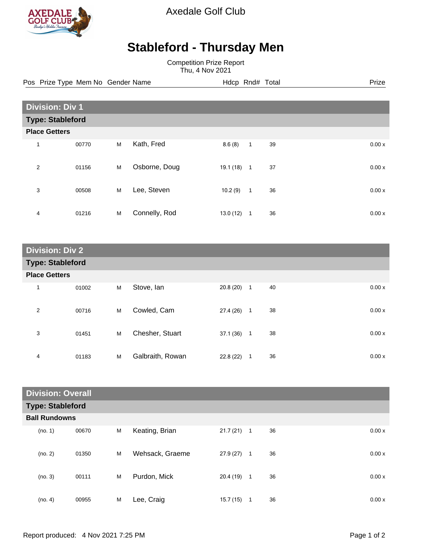

Axedale Golf Club

## **Stableford - Thursday Men**

Competition Prize Report Thu, 4 Nov 2021

Pos Prize Type Mem No Gender Name **Hdcp Rnd# Total** Prize Prize

| <b>Division: Div 1</b>  |       |   |               |          |              |    |  |       |
|-------------------------|-------|---|---------------|----------|--------------|----|--|-------|
| <b>Type: Stableford</b> |       |   |               |          |              |    |  |       |
| <b>Place Getters</b>    |       |   |               |          |              |    |  |       |
| $\mathbf{1}$            | 00770 | M | Kath, Fred    | 8.6(8)   | $\mathbf{1}$ | 39 |  | 0.00x |
| 2                       | 01156 | M | Osborne, Doug | 19.1(18) | $\mathbf{1}$ | 37 |  | 0.00x |
| 3                       | 00508 | M | Lee, Steven   | 10.2(9)  | $\mathbf{1}$ | 36 |  | 0.00x |
| 4                       | 01216 | M | Connelly, Rod | 13.0(12) | 1            | 36 |  | 0.00x |

| <b>Division: Div 2</b>  |       |   |                  |          |                |    |  |       |
|-------------------------|-------|---|------------------|----------|----------------|----|--|-------|
| <b>Type: Stableford</b> |       |   |                  |          |                |    |  |       |
| <b>Place Getters</b>    |       |   |                  |          |                |    |  |       |
| $\mathbf{1}$            | 01002 | M | Stove, Ian       | 20.8(20) | $\overline{1}$ | 40 |  | 0.00x |
| $\overline{2}$          | 00716 | M | Cowled, Cam      | 27.4(26) | $\mathbf{1}$   | 38 |  | 0.00x |
| 3                       | 01451 | М | Chesher, Stuart  | 37.1(36) | $\mathbf{1}$   | 38 |  | 0.00x |
| 4                       | 01183 | M | Galbraith, Rowan | 22.8(22) | $\mathbf{1}$   | 36 |  | 0.00x |

| <b>Division: Overall</b> |       |   |                 |          |              |    |       |
|--------------------------|-------|---|-----------------|----------|--------------|----|-------|
| <b>Type: Stableford</b>  |       |   |                 |          |              |    |       |
| <b>Ball Rundowns</b>     |       |   |                 |          |              |    |       |
| (no. 1)                  | 00670 | M | Keating, Brian  | 21.7(21) | $\mathbf{1}$ | 36 | 0.00x |
| (no. 2)                  | 01350 | M | Wehsack, Graeme | 27.9(27) | $\mathbf{1}$ | 36 | 0.00x |
| (no. 3)                  | 00111 | M | Purdon, Mick    | 20.4(19) | 1            | 36 | 0.00x |
| (no. 4)                  | 00955 | M | Lee, Craig      | 15.7(15) | 1            | 36 | 0.00x |